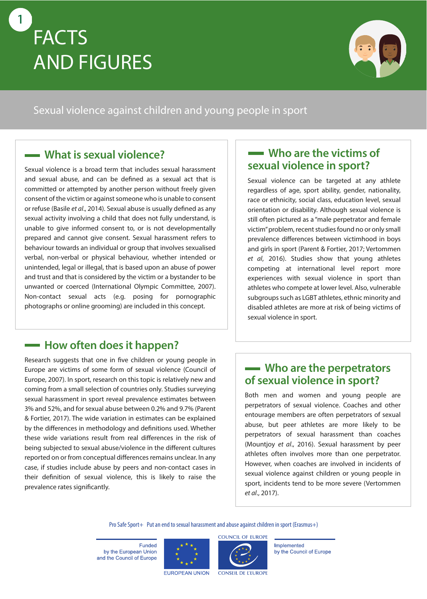# **FACTS AND FIGURES**

1



### Sexual violence against children and young people in sport

## **What is sexual violence?**

Sexual violence is a broad term that includes sexual harassment and sexual abuse, and can be defined as a sexual act that is committed or attempted by another person without freely given consent of the victim or against someone who is unable to consent or refuse (Basile *et al.*, 2014). Sexual abuse is usually defined as any sexual activity involving a child that does not fully understand, is unable to give informed consent to, or is not developmentally prepared and cannot give consent. Sexual harassment refers to behaviour towards an individual or group that involves sexualised verbal, non-verbal or physical behaviour, whether intended or unintended, legal or illegal, that is based upon an abuse of power and trust and that is considered by the victim or a bystander to be unwanted or coerced (International Olympic Committee, 2007). Non-contact sexual acts (e.g. posing for pornographic photographs or online grooming) are included in this concept.

# **<del>How often does it happen?</del>**

Research suggests that one in five children or young people in Europe are victims of some form of sexual violence (Council of Europe, 2007). In sport, research on this topic is relatively new and coming from a small selection of countries only. Studies surveying sexual harassment in sport reveal prevalence estimates between 3% and 52%, and for sexual abuse between 0.2% and 9.7% (Parent & Fortier, 2017). The wide variation in estimates can be explained by the differences in methodology and definitions used. Whether these wide variations result from real differences in the risk of being subjected to sexual abuse/violence in the different cultures reported on or from conceptual differences remains unclear. In any case, if studies include abuse by peers and non-contact cases in their definition of sexual violence, this is likely to raise the prevalence rates significantly.

### **Who are the victims of sexual violence in sport?**

Sexual violence can be targeted at any athlete regardless of age, sport ability, gender, nationality, race or ethnicity, social class, education level, sexual orientation or disability. Although sexual violence is still often pictured as a "male perpetrator and female victim" problem, recent studies found no or only small prevalence differences between victimhood in boys and girls in sport (Parent & Fortier, 2017; Vertommen *et al*, 2016). Studies show that young athletes competing at international level report more experiences with sexual violence in sport than athletes who compete at lower level. Also, vulnerable subgroups such as LGBT athletes, ethnic minority and disabled athletes are more at risk of being victims of sexual violence in sport.

## **Who are the perpetrators of sexual violence in sport?**

Both men and women and young people are perpetrators of sexual violence. Coaches and other entourage members are often perpetrators of sexual abuse, but peer athletes are more likely to be perpetrators of sexual harassment than coaches (Mountjoy *et al*., 2016). Sexual harassment by peer athletes often involves more than one perpetrator. However, when coaches are involved in incidents of sexual violence against children or young people in sport, incidents tend to be more severe (Vertommen *et al*., 2017).

Pro Safe Sport+ Put an end to sexual harassment and abuse against children in sport (Erasmus+)

Funded by the European Union and the Council of Europe





Implemented by the Council of Europe

**EUROPEAN UNION** 

**CONSEIL DE L'EUROPE**